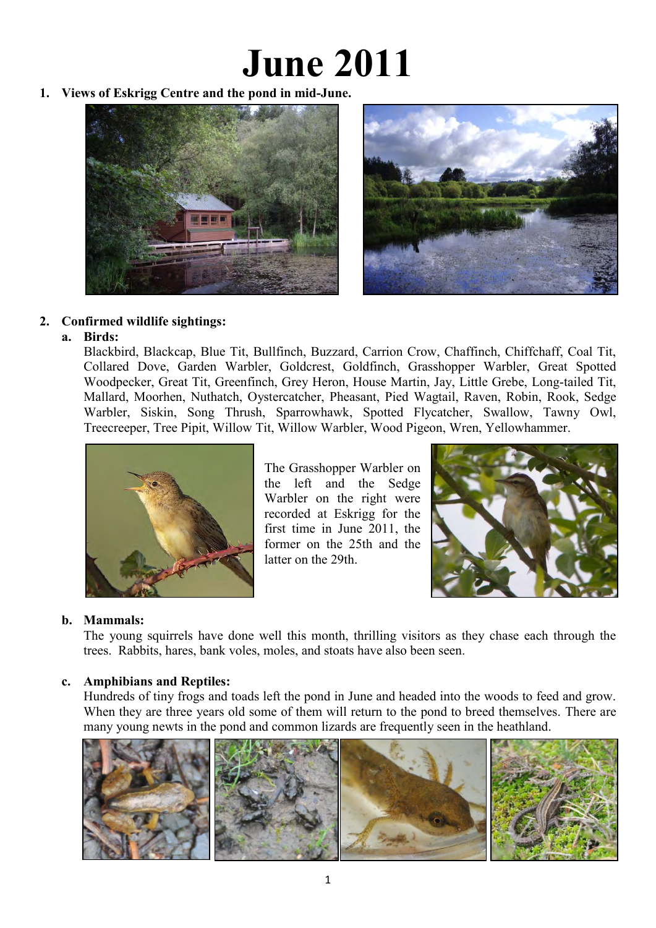# **June 2011**

**1. Views of Eskrigg Centre and the pond in mid-June.** 





# **2. Confirmed wildlife sightings:**

### **a. Birds:**

Blackbird, Blackcap, Blue Tit, Bullfinch, Buzzard, Carrion Crow, Chaffinch, Chiffchaff, Coal Tit, Collared Dove, Garden Warbler, Goldcrest, Goldfinch, Grasshopper Warbler, Great Spotted Woodpecker, Great Tit, Greenfinch, Grey Heron, House Martin, Jay, Little Grebe, Long-tailed Tit, Mallard, Moorhen, Nuthatch, Oystercatcher, Pheasant, Pied Wagtail, Raven, Robin, Rook, Sedge Warbler, Siskin, Song Thrush, Sparrowhawk, Spotted Flycatcher, Swallow, Tawny Owl, Treecreeper, Tree Pipit, Willow Tit, Willow Warbler, Wood Pigeon, Wren, Yellowhammer.



The Grasshopper Warbler on the left and the Sedge Warbler on the right were recorded at Eskrigg for the first time in June 2011, the former on the 25th and the latter on the 29th.



# **b. Mammals:**

The young squirrels have done well this month, thrilling visitors as they chase each through the trees. Rabbits, hares, bank voles, moles, and stoats have also been seen.

# **c. Amphibians and Reptiles:**

Hundreds of tiny frogs and toads left the pond in June and headed into the woods to feed and grow. When they are three years old some of them will return to the pond to breed themselves. There are many young newts in the pond and common lizards are frequently seen in the heathland.

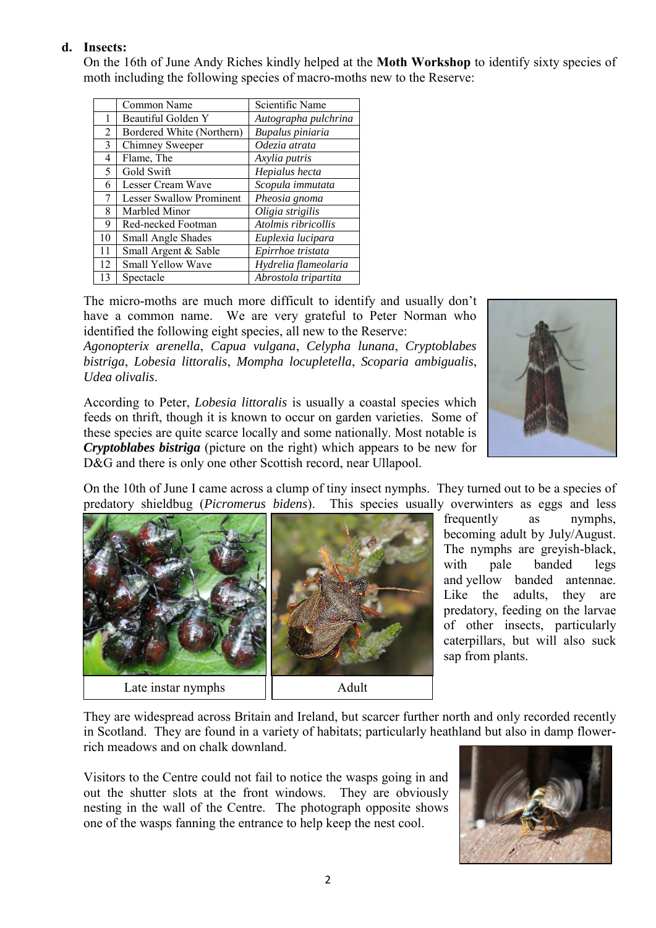## **d. Insects:**

On the 16th of June Andy Riches kindly helped at the **Moth Workshop** to identify sixty species of moth including the following species of macro-moths new to the Reserve:

|    | Common Name                     | Scientific Name      |
|----|---------------------------------|----------------------|
| 1  | Beautiful Golden Y              | Autographa pulchrina |
| 2  | Bordered White (Northern)       | Bupalus piniaria     |
| 3  | Chimney Sweeper                 | Odezia atrata        |
| 4  | Flame, The                      | Axylia putris        |
| 5  | Gold Swift                      | Hepialus hecta       |
| 6  | Lesser Cream Wave               | Scopula immutata     |
| 7  | <b>Lesser Swallow Prominent</b> | Pheosia gnoma        |
| 8  | Marbled Minor                   | Oligia strigilis     |
| 9  | Red-necked Footman              | Atolmis ribricollis  |
| 10 | Small Angle Shades              | Euplexia lucipara    |
| 11 | Small Argent & Sable            | Epirrhoe tristata    |
| 12 | Small Yellow Wave               | Hydrelia flameolaria |
| 13 | Spectacle                       | Abrostola tripartita |

The micro-moths are much more difficult to identify and usually don't have a common name. We are very grateful to Peter Norman who identified the following eight species, all new to the Reserve:

*Agonopterix arenella*, *Capua vulgana*, *Celypha lunana*, *Cryptoblabes bistriga*, *Lobesia littoralis*, *Mompha locupletella*, *Scoparia ambigualis*, *Udea olivalis*.

According to Peter, *Lobesia littoralis* is usually a coastal species which feeds on thrift, though it is known to occur on garden varieties. Some of these species are quite scarce locally and some nationally. Most notable is *Cryptoblabes bistriga* (picture on the right) which appears to be new for D&G and there is only one other Scottish record, near Ullapool.



On the 10th of June I came across a clump of tiny insect nymphs. They turned out to be a species of predatory shieldbug (*Picromerus bidens*). This species usually overwinters as eggs and less



frequently as nymphs, becoming adult by July/August. The nymphs are greyish-black, with pale banded legs and yellow banded antennae. Like the adults, they are predatory, feeding on the larvae of other insects, particularly caterpillars, but will also suck sap from plants.

They are widespread across Britain and Ireland, but scarcer further north and only recorded recently in Scotland. They are found in a variety of habitats; particularly heathland but also in damp flowerrich meadows and on chalk downland.

Visitors to the Centre could not fail to notice the wasps going in and out the shutter slots at the front windows. They are obviously nesting in the wall of the Centre. The photograph opposite shows one of the wasps fanning the entrance to help keep the nest cool.

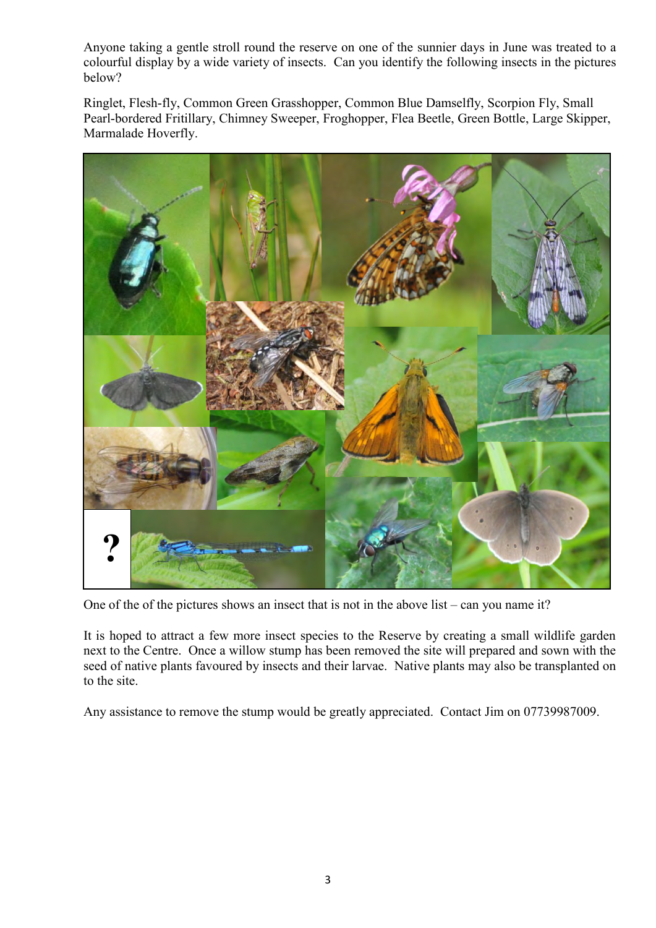Anyone taking a gentle stroll round the reserve on one of the sunnier days in June was treated to a colourful display by a wide variety of insects. Can you identify the following insects in the pictures below?

 Ringlet, Flesh-fly, Common Green Grasshopper, Common Blue Damselfly, Scorpion Fly, Small Pearl-bordered Fritillary, Chimney Sweeper, Froghopper, Flea Beetle, Green Bottle, Large Skipper, Marmalade Hoverfly.



One of the of the pictures shows an insect that is not in the above list – can you name it?

It is hoped to attract a few more insect species to the Reserve by creating a small wildlife garden next to the Centre. Once a willow stump has been removed the site will prepared and sown with the seed of native plants favoured by insects and their larvae. Native plants may also be transplanted on to the site.

Any assistance to remove the stump would be greatly appreciated. Contact Jim on 07739987009.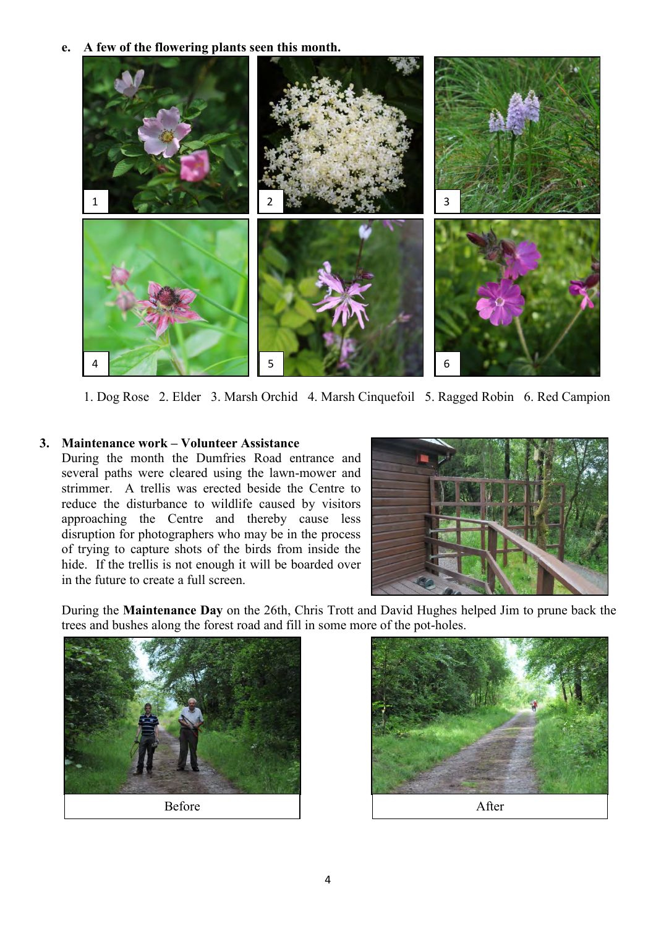**e. A few of the flowering plants seen this month.**



1. Dog Rose 2. Elder 3. Marsh Orchid 4. Marsh Cinquefoil 5. Ragged Robin 6. Red Campion

# **3. Maintenance work – Volunteer Assistance**

During the month the Dumfries Road entrance and several paths were cleared using the lawn-mower and strimmer. A trellis was erected beside the Centre to reduce the disturbance to wildlife caused by visitors approaching the Centre and thereby cause less disruption for photographers who may be in the process of trying to capture shots of the birds from inside the hide. If the trellis is not enough it will be boarded over in the future to create a full screen.



During the **Maintenance Day** on the 26th, Chris Trott and David Hughes helped Jim to prune back the trees and bushes along the forest road and fill in some more of the pot-holes.



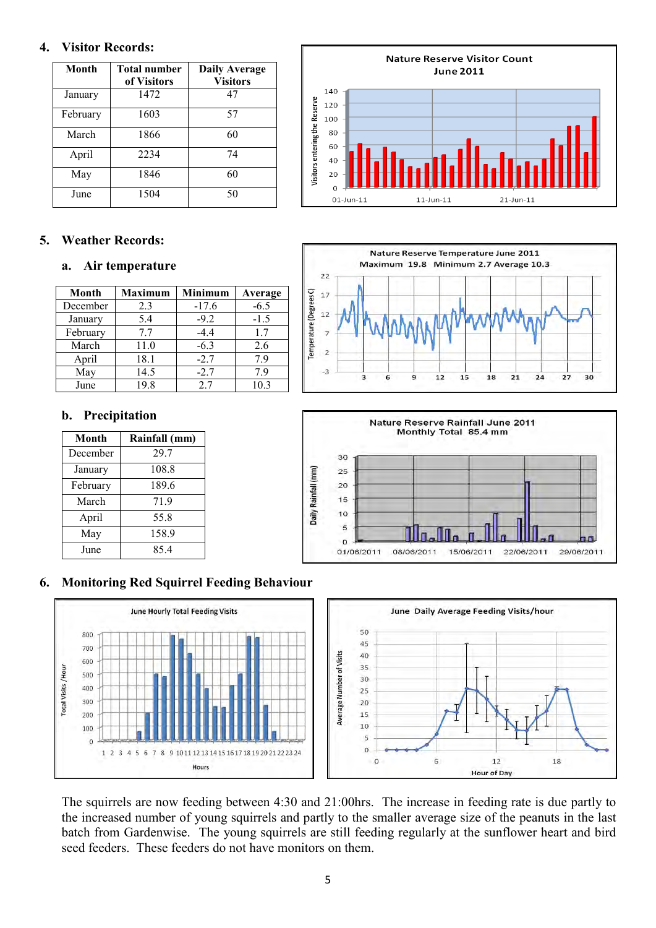#### **4. Visitor Records:**

| Month    | <b>Total number</b><br>of Visitors | <b>Daily Average</b><br><b>Visitors</b> |
|----------|------------------------------------|-----------------------------------------|
| January  | 1472                               | 47                                      |
| February | 1603                               | 57                                      |
| March    | 1866                               | 60                                      |
| April    | 2234                               | 74                                      |
| May      | 1846                               | 60                                      |
| June     | 1504                               | 50                                      |

# **5. Weather Records:**

#### **a. Air temperature**

| Month    | <b>Maximum</b> | <b>Minimum</b> | Average |
|----------|----------------|----------------|---------|
| December | 2.3            | $-17.6$        | $-6.5$  |
| January  | 5.4            | $-9.2$         | $-1.5$  |
| February | 7.7            | $-4.4$         | 1.7     |
| March    | 11.0           | $-6.3$         | 2.6     |
| April    | 18.1           | $-2.7$         | 79      |
| May      | 14.5           | $-2.7$         | 79      |
| June     | 19.8           | 2.7            | 10.3    |

### **b. Precipitation**

| <b>Month</b> | Rainfall (mm) |
|--------------|---------------|
| December     | 29.7          |
| January      | 108.8         |
| February     | 189.6         |
| March        | 71.9          |
| April        | 55.8          |
| May          | 158.9         |
| June         | 854           |

#### **Nature Reserve Visitor Count June 2011** 140 Visitors entering the Reserve 120 100 80 60  $40$  $20$  $\Omega$  $21 - Jun - 11$  $01$ -Jun-11  $11$ -Jun- $11$





# **6. Monitoring Red Squirrel Feeding Behaviour**



The squirrels are now feeding between 4:30 and 21:00hrs. The increase in feeding rate is due partly to the increased number of young squirrels and partly to the smaller average size of the peanuts in the last batch from Gardenwise. The young squirrels are still feeding regularly at the sunflower heart and bird seed feeders. These feeders do not have monitors on them.